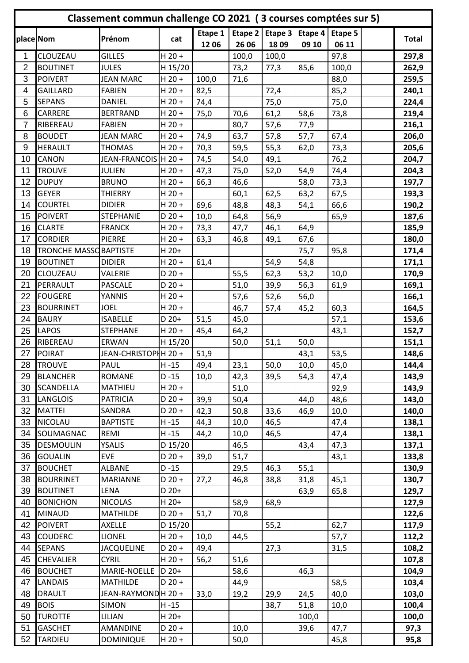|                | Classement commun challenge CO 2021 (3 courses comptées sur 5) |                      |          |         |         |         |         |         |  |              |
|----------------|----------------------------------------------------------------|----------------------|----------|---------|---------|---------|---------|---------|--|--------------|
|                |                                                                | Prénom               |          | Etape 1 | Etape 2 | Etape 3 | Etape 4 | Etape 5 |  | <b>Total</b> |
|                | place Nom                                                      |                      | cat      | 1206    | 26 06   | 1809    | 09 10   | 06 11   |  |              |
| 1              | CLOUZEAU                                                       | <b>GILLES</b>        | $H$ 20 + |         | 100,0   | 100,0   |         | 97,8    |  | 297,8        |
| $\overline{2}$ | <b>BOUTINET</b>                                                | <b>JULES</b>         | H 15/20  |         | 73,2    | 77,3    | 85,6    | 100,0   |  | 262,9        |
| 3              | <b>POIVERT</b>                                                 | <b>JEAN MARC</b>     | $H$ 20 + | 100,0   | 71,6    |         |         | 88,0    |  | 259,5        |
| 4              | <b>GAILLARD</b>                                                | <b>FABIEN</b>        | $H$ 20 + | 82,5    |         | 72,4    |         | 85,2    |  | 240,1        |
| 5              | <b>SEPANS</b>                                                  | <b>DANIEL</b>        | $H$ 20 + | 74,4    |         | 75,0    |         | 75,0    |  | 224,4        |
| 6              | CARRERE                                                        | <b>BERTRAND</b>      | $H$ 20 + | 75,0    | 70,6    | 61,2    | 58,6    | 73,8    |  | 219,4        |
| $\overline{7}$ | RIBEREAU                                                       | <b>FABIEN</b>        | $H$ 20 + |         | 80,7    | 57,6    | 77,9    |         |  | 216,1        |
| 8              | <b>BOUDET</b>                                                  | <b>JEAN MARC</b>     | $H$ 20 + | 74,9    | 63,7    | 57,8    | 57,7    | 67,4    |  | 206,0        |
| 9              | <b>HERAULT</b>                                                 | <b>THOMAS</b>        | $H$ 20 + | 70,3    | 59,5    | 55,3    | 62,0    | 73,3    |  | 205,6        |
| 10             | CANON                                                          | JEAN-FRANCOIS H 20 + |          | 74,5    | 54,0    | 49,1    |         | 76,2    |  | 204,7        |
| 11             | <b>TROUVE</b>                                                  | <b>JULIEN</b>        | $H 20 +$ | 47,3    | 75,0    | 52,0    | 54,9    | 74,4    |  | 204,3        |
| 12             | <b>DUPUY</b>                                                   | <b>BRUNO</b>         | $H$ 20 + | 66,3    | 46,6    |         | 58,0    | 73,3    |  | 197,7        |
| 13             | <b>GEYER</b>                                                   | <b>THIERRY</b>       | $H$ 20 + |         | 60,1    | 62,5    | 63,2    | 67,5    |  | 193,3        |
| 14             | <b>COURTEL</b>                                                 | <b>DIDIER</b>        | $H$ 20 + | 69,6    | 48,8    | 48,3    | 54,1    | 66,6    |  | 190,2        |
| 15             | <b>POIVERT</b>                                                 | <b>STEPHANIE</b>     | $D$ 20 + | 10,0    | 64,8    | 56,9    |         | 65,9    |  | 187,6        |
| 16             | <b>CLARTE</b>                                                  | <b>FRANCK</b>        | $H$ 20 + | 73,3    | 47,7    | 46,1    | 64,9    |         |  | 185,9        |
| 17             | <b>CORDIER</b>                                                 | <b>PIERRE</b>        | $H$ 20 + | 63,3    | 46,8    | 49,1    | 67,6    |         |  | 180,0        |
| 18             | <b>TRONCHE MASSO BAPTISTE</b>                                  |                      | $H 20+$  |         |         |         | 75,7    | 95,8    |  | 171,4        |
| 19             | <b>BOUTINET</b>                                                | <b>DIDIER</b>        | $H$ 20 + | 61,4    |         | 54,9    | 54,8    |         |  | 171,1        |
| 20             | CLOUZEAU                                                       | VALERIE              | $D$ 20 + |         | 55,5    | 62,3    | 53,2    | 10,0    |  | 170,9        |
| 21             | PERRAULT                                                       | <b>PASCALE</b>       | $D$ 20 + |         | 51,0    | 39,9    | 56,3    | 61,9    |  | 169,1        |
| 22             | <b>FOUGERE</b>                                                 | YANNIS               | $H$ 20 + |         | 57,6    | 52,6    | 56,0    |         |  | 166,1        |
| 23             | <b>BOURRINET</b>                                               | <b>JOEL</b>          | $H$ 20 + |         | 46,7    | 57,4    | 45,2    | 60,3    |  | 164,5        |
| 24             | <b>BAURY</b>                                                   | <b>ISABELLE</b>      | D 20+    | 51,5    | 45,0    |         |         | 57,1    |  | 153,6        |
| 25             | <b>LAPOS</b>                                                   | <b>STEPHANE</b>      | $H$ 20 + | 45,4    | 64,2    |         |         | 43,1    |  | 152,7        |
| 26             | RIBEREAU                                                       | ERWAN                | H 15/20  |         | 50,0    | 51,1    | 50,0    |         |  | 151,1        |
| 27             | <b>POIRAT</b>                                                  | JEAN-CHRISTOPHH 20 + |          | 51,9    |         |         | 43,1    | 53,5    |  | 148,6        |
| 28             | <b>TROUVE</b>                                                  | PAUL                 | $H - 15$ | 49,4    | 23,1    | 50,0    | 10,0    | 45,0    |  | 144,4        |
| 29             | <b>BLANCHER</b>                                                | <b>ROMANE</b>        | $D - 15$ | 10,0    | 42,3    | 39,5    | 54,3    | 47,4    |  | 143,9        |
| 30             | <b>SCANDELLA</b>                                               | MATHIEU              | $H 20 +$ |         | 51,0    |         |         | 92,9    |  | 143,9        |
| 31             | <b>LANGLOIS</b>                                                | <b>PATRICIA</b>      | $D$ 20 + | 39,9    | 50,4    |         | 44,0    | 48,6    |  | 143,0        |
| 32             | <b>MATTEI</b>                                                  | SANDRA               | $D$ 20 + | 42,3    | 50,8    | 33,6    | 46,9    | 10,0    |  | 140,0        |
| 33             | NICOLAU                                                        | <b>BAPTISTE</b>      | $H - 15$ | 44,3    | 10,0    | 46,5    |         | 47,4    |  | 138,1        |
| 34             | SOUMAGNAC                                                      | REMI                 | $H - 15$ | 44,2    | 10,0    | 46,5    |         | 47,4    |  | 138,1        |
| 35             | <b>DESMOULIN</b>                                               | <b>YSALIS</b>        | D 15/20  |         | 46,5    |         | 43,4    | 47,3    |  | 137,1        |
| 36             | <b>GOUALIN</b>                                                 | <b>EVE</b>           | $D$ 20 + | 39,0    | 51,7    |         |         | 43,1    |  | 133,8        |
| 37             | <b>BOUCHET</b>                                                 | <b>ALBANE</b>        | $D - 15$ |         | 29,5    | 46,3    | 55,1    |         |  | 130,9        |
| 38             | <b>BOURRINET</b>                                               | MARIANNE             | $D$ 20 + | 27,2    | 46,8    | 38,8    | 31,8    | 45,1    |  | 130,7        |
| 39             | <b>BOUTINET</b>                                                | LENA                 | $D 20+$  |         |         |         | 63,9    | 65,8    |  | 129,7        |
| 40             | <b>BONICHON</b>                                                | <b>NICOLAS</b>       | $H 20+$  |         | 58,9    | 68,9    |         |         |  | 127,9        |
| 41             | <b>MINAUD</b>                                                  | <b>MATHILDE</b>      | $D$ 20 + | 51,7    | 70,8    |         |         |         |  | 122,6        |
| 42             | <b>POIVERT</b>                                                 | <b>AXELLE</b>        | D 15/20  |         |         | 55,2    |         | 62,7    |  | 117,9        |
| 43             | <b>COUDERC</b>                                                 | <b>LIONEL</b>        | $H$ 20 + | 10,0    | 44,5    |         |         | 57,7    |  | 112,2        |
| 44             | <b>SEPANS</b>                                                  | <b>JACQUELINE</b>    | $D$ 20 + | 49,4    |         | 27,3    |         | 31,5    |  | 108,2        |
| 45             | <b>CHEVALIER</b>                                               | <b>CYRIL</b>         | $H$ 20 + | 56,2    | 51,6    |         |         |         |  | 107,8        |
| 46             | <b>BOUCHET</b>                                                 | MARIE-NOELLE         | D 20+    |         | 58,6    |         | 46,3    |         |  | 104,9        |
| 47             | <b>LANDAIS</b>                                                 | <b>MATHILDE</b>      | $D$ 20 + |         | 44,9    |         |         | 58,5    |  | 103,4        |
| 48             | <b>DRAULT</b>                                                  | JEAN-RAYMONDH 20 +   |          | 33,0    | 19,2    | 29,9    | 24,5    | 40,0    |  | 103,0        |
| 49             | <b>BOIS</b>                                                    | <b>SIMON</b>         | $H - 15$ |         |         | 38,7    | 51,8    | 10,0    |  | 100,4        |
| 50             | <b>TUROTTE</b>                                                 | LILIAN               | $H 20+$  |         |         |         | 100,0   |         |  | 100,0        |
| 51             | <b>GASCHET</b>                                                 | AMANDINE             | $D$ 20 + |         | 10,0    |         | 39,6    | 47,7    |  | 97,3         |
| 52             | <b>TARDIEU</b>                                                 | <b>DOMINIQUE</b>     | $H$ 20 + |         | 50,0    |         |         | 45,8    |  | 95,8         |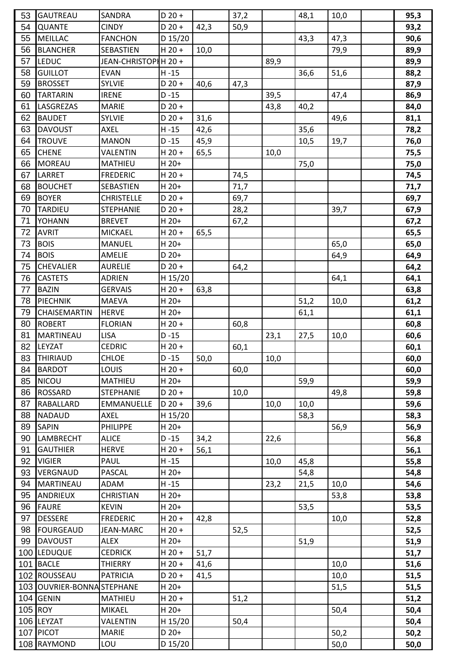| 53      | <b>GAUTREAU</b>           | SANDRA               | $D 20 +$ |      | 37,2 |      | 48,1 | 10,0 | 95,3 |
|---------|---------------------------|----------------------|----------|------|------|------|------|------|------|
| 54      | <b>QUANTE</b>             | <b>CINDY</b>         | $D 20 +$ | 42,3 | 50,9 |      |      |      | 93,2 |
| 55      | <b>MEILLAC</b>            | <b>FANCHON</b>       | D 15/20  |      |      |      | 43,3 | 47,3 | 90,6 |
| 56      | <b>BLANCHER</b>           | <b>SEBASTIEN</b>     | $H$ 20 + | 10,0 |      |      |      | 79,9 | 89,9 |
| 57      | LEDUC                     | JEAN-CHRISTOPHH 20 + |          |      |      | 89,9 |      |      | 89,9 |
| 58      | <b>GUILLOT</b>            | <b>EVAN</b>          | $H - 15$ |      |      |      | 36,6 | 51,6 | 88,2 |
| 59      | <b>BROSSET</b>            | <b>SYLVIE</b>        | $D$ 20 + | 40,6 | 47,3 |      |      |      | 87,9 |
| 60      | <b>TARTARIN</b>           | <b>IRENE</b>         | $D - 15$ |      |      | 39,5 |      | 47,4 | 86,9 |
| 61      | LASGREZAS                 | <b>MARIE</b>         | $D 20 +$ |      |      | 43,8 | 40,2 |      | 84,0 |
| 62      | <b>BAUDET</b>             | <b>SYLVIE</b>        | $D$ 20 + | 31,6 |      |      |      | 49,6 | 81,1 |
| 63      | <b>DAVOUST</b>            | AXEL                 | $H - 15$ | 42,6 |      |      | 35,6 |      | 78,2 |
| 64      | <b>TROUVE</b>             | <b>MANON</b>         | $D - 15$ | 45,9 |      |      | 10,5 | 19,7 | 76,0 |
| 65      | <b>CHENE</b>              | <b>VALENTIN</b>      | $H$ 20 + | 65,5 |      | 10,0 |      |      | 75,5 |
| 66      | <b>MOREAU</b>             | <b>MATHIEU</b>       | $H$ 20+  |      |      |      | 75,0 |      | 75,0 |
| 67      | LARRET                    | <b>FREDERIC</b>      | $H$ 20 + |      | 74,5 |      |      |      | 74,5 |
| 68      | <b>BOUCHET</b>            | SEBASTIEN            | $H$ 20+  |      | 71,7 |      |      |      | 71,7 |
| 69      | <b>BOYER</b>              | <b>CHRISTELLE</b>    | $D$ 20 + |      | 69,7 |      |      |      | 69,7 |
| 70      | <b>TARDIEU</b>            | <b>STEPHANIE</b>     | $D 20 +$ |      | 28,2 |      |      | 39,7 | 67,9 |
| 71      | <b>YOHANN</b>             | <b>BREVET</b>        | $H$ 20+  |      | 67,2 |      |      |      | 67,2 |
| 72      | <b>AVRIT</b>              | <b>MICKAEL</b>       | $H 20 +$ | 65,5 |      |      |      |      | 65,5 |
| 73      | <b>BOIS</b>               | <b>MANUEL</b>        | $H$ 20+  |      |      |      |      | 65,0 | 65,0 |
| 74      | <b>BOIS</b>               | AMELIE               | D 20+    |      |      |      |      | 64,9 | 64,9 |
| 75      | <b>CHEVALIER</b>          | <b>AURELIE</b>       | $D$ 20 + |      | 64,2 |      |      |      | 64,2 |
| 76      | <b>CASTETS</b>            | <b>ADRIEN</b>        | H 15/20  |      |      |      |      |      |      |
| 77      | <b>BAZIN</b>              | <b>GERVAIS</b>       | $H$ 20 + |      |      |      |      | 64,1 | 64,1 |
|         |                           |                      |          | 63,8 |      |      |      |      | 63,8 |
| 78      | <b>PIECHNIK</b>           | <b>MAEVA</b>         | H 20+    |      |      |      | 51,2 | 10,0 | 61,2 |
| 79      | CHAISEMARTIN              | <b>HERVE</b>         | $H$ 20+  |      |      |      | 61,1 |      | 61,1 |
| 80      | <b>ROBERT</b>             | <b>FLORIAN</b>       | $H$ 20 + |      | 60,8 |      |      |      | 60,8 |
| 81      | <b>MARTINEAU</b>          | <b>LISA</b>          | $D - 15$ |      |      | 23,1 | 27,5 | 10,0 | 60,6 |
| 82      | LEYZAT                    | <b>CEDRIC</b>        | $H 20 +$ |      | 60,1 |      |      |      | 60,1 |
| 83      | THIRIAUD                  | <b>CHLOE</b>         | $D - 15$ | 50,0 |      | 10,0 |      |      | 60,0 |
| 84      | <b>BARDOT</b>             | LOUIS                | $H$ 20 + |      | 60,0 |      |      |      | 60,0 |
| 85      | <b>NICOU</b>              | <b>MATHIEU</b>       | $H$ 20+  |      |      |      | 59,9 |      | 59,9 |
| 86      | <b>ROSSARD</b>            | <b>STEPHANIE</b>     | $D$ 20 + |      | 10,0 |      |      | 49,8 | 59,8 |
| 87      | RABALLARD                 | <b>EMMANUELLE</b>    | $D$ 20 + | 39,6 |      | 10,0 | 10,0 |      | 59,6 |
| 88      | <b>NADAUD</b>             | <b>AXEL</b>          | H 15/20  |      |      |      | 58,3 |      | 58,3 |
| 89      | <b>SAPIN</b>              | <b>PHILIPPE</b>      | $H$ 20+  |      |      |      |      | 56,9 | 56,9 |
| 90      | LAMBRECHT                 | <b>ALICE</b>         | $D - 15$ | 34,2 |      | 22,6 |      |      | 56,8 |
| 91      | <b>GAUTHIER</b>           | <b>HERVE</b>         | $H 20 +$ | 56,1 |      |      |      |      | 56,1 |
| 92      | <b>VIGIER</b>             | <b>PAUL</b>          | $H - 15$ |      |      | 10,0 | 45,8 |      | 55,8 |
| 93      | VERGNAUD                  | <b>PASCAL</b>        | $H$ 20+  |      |      |      | 54,8 |      | 54,8 |
| 94      | <b>MARTINEAU</b>          | ADAM                 | $H - 15$ |      |      | 23,2 | 21,5 | 10,0 | 54,6 |
| 95      | ANDRIEUX                  | <b>CHRISTIAN</b>     | H 20+    |      |      |      |      | 53,8 | 53,8 |
| 96      | <b>FAURE</b>              | <b>KEVIN</b>         | $H$ 20+  |      |      |      | 53,5 |      | 53,5 |
| 97      | <b>DESSERE</b>            | <b>FREDERIC</b>      | $H 20 +$ | 42,8 |      |      |      | 10,0 | 52,8 |
| 98      | <b>FOURGEAUD</b>          | JEAN-MARC            | $H$ 20 + |      | 52,5 |      |      |      | 52,5 |
| 99      | <b>DAVOUST</b>            | <b>ALEX</b>          | $H$ 20+  |      |      |      | 51,9 |      | 51,9 |
|         | 100 LEDUQUE               | <b>CEDRICK</b>       | $H$ 20 + | 51,7 |      |      |      |      | 51,7 |
| 101     | <b>BACLE</b>              | <b>THIERRY</b>       | $H$ 20 + | 41,6 |      |      |      | 10,0 | 51,6 |
|         | 102 ROUSSEAU              | <b>PATRICIA</b>      | $D$ 20 + | 41,5 |      |      |      | 10,0 | 51,5 |
|         | 103 OUVRIER-BONNASTEPHANE |                      | H 20+    |      |      |      |      | 51,5 | 51,5 |
|         | 104 GENIN                 | <b>MATHIEU</b>       | $H 20 +$ |      | 51,2 |      |      |      | 51,2 |
| 105 ROY |                           | <b>MIKAEL</b>        | $H$ 20+  |      |      |      |      | 50,4 | 50,4 |
|         | 106 LEYZAT                | VALENTIN             | H 15/20  |      | 50,4 |      |      |      | 50,4 |
|         | 107 PICOT                 | <b>MARIE</b>         | D 20+    |      |      |      |      | 50,2 | 50,2 |
|         | 108 RAYMOND               | LOU                  | D 15/20  |      |      |      |      | 50,0 | 50,0 |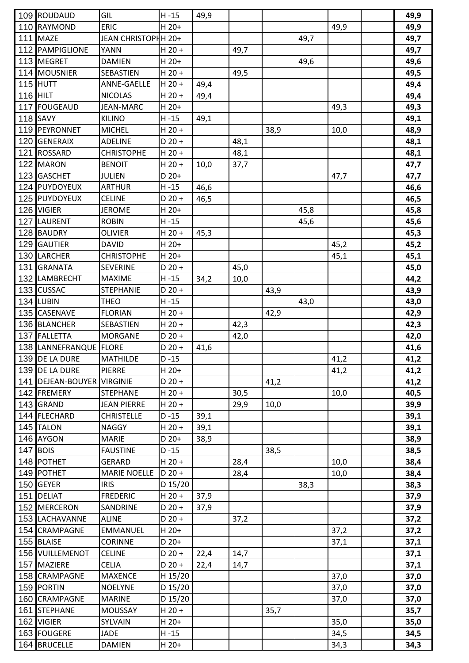|     | 109 ROUDAUD            | GIL                 | $H - 15$ | 49,9 |      |      |      |      | 49,9 |
|-----|------------------------|---------------------|----------|------|------|------|------|------|------|
|     | 110 RAYMOND            | <b>ERIC</b>         | H 20+    |      |      |      |      | 49,9 | 49,9 |
|     | 111 MAZE               | JEAN CHRISTOPHH 20+ |          |      |      |      | 49,7 |      | 49,7 |
|     | 112 PAMPIGLIONE        | YANN                | $H$ 20 + |      | 49,7 |      |      |      | 49,7 |
|     | 113 MEGRET             | <b>DAMIEN</b>       | $H$ 20+  |      |      |      | 49,6 |      | 49,6 |
|     | 114 MOUSNIER           | SEBASTIEN           | $H$ 20 + |      | 49,5 |      |      |      | 49,5 |
|     | $115$ HUTT             | <b>ANNE-GAELLE</b>  | $H$ 20 + | 49,4 |      |      |      |      | 49,4 |
|     | <b>116 HILT</b>        | <b>NICOLAS</b>      | $H$ 20 + | 49,4 |      |      |      |      | 49,4 |
|     | 117 FOUGEAUD           | <b>JEAN-MARC</b>    | H 20+    |      |      |      |      | 49,3 | 49,3 |
|     | <b>118 SAVY</b>        | <b>KILINO</b>       | $H - 15$ | 49,1 |      |      |      |      | 49,1 |
|     | 119 PEYRONNET          | <b>MICHEL</b>       | $H$ 20 + |      |      | 38,9 |      | 10,0 | 48,9 |
|     | 120 GENERAIX           | <b>ADELINE</b>      | $D$ 20 + |      | 48,1 |      |      |      | 48,1 |
| 121 | <b>ROSSARD</b>         | <b>CHRISTOPHE</b>   | $H$ 20 + |      | 48,1 |      |      |      | 48,1 |
|     | 122 MARON              | <b>BENOIT</b>       | $H$ 20 + | 10,0 | 37,7 |      |      |      | 47,7 |
|     | 123 GASCHET            | <b>JULIEN</b>       | $D 20+$  |      |      |      |      | 47,7 | 47,7 |
|     | 124 PUYDOYEUX          | <b>ARTHUR</b>       | $H - 15$ | 46,6 |      |      |      |      | 46,6 |
|     | 125 PUYDOYEUX          | <b>CELINE</b>       | $D 20 +$ | 46,5 |      |      |      |      | 46,5 |
|     | 126 VIGIER             | <b>JEROME</b>       | $H$ 20+  |      |      |      | 45,8 |      | 45,8 |
|     | 127 LAURENT            | <b>ROBIN</b>        | $H - 15$ |      |      |      | 45,6 |      | 45,6 |
|     | 128 BAUDRY             | <b>OLIVIER</b>      | $H 20 +$ | 45,3 |      |      |      |      | 45,3 |
|     | 129 GAUTIER            | <b>DAVID</b>        | H 20+    |      |      |      |      | 45,2 | 45,2 |
|     | 130 LARCHER            | <b>CHRISTOPHE</b>   | H 20+    |      |      |      |      | 45,1 | 45,1 |
|     | 131 GRANATA            | <b>SEVERINE</b>     | $D$ 20 + |      | 45,0 |      |      |      | 45,0 |
|     | 132 LAMBRECHT          | <b>MAXIME</b>       | $H - 15$ | 34,2 | 10,0 |      |      |      | 44,2 |
|     | 133 CUSSAC             | <b>STEPHANIE</b>    | $D$ 20 + |      |      | 43,9 |      |      | 43,9 |
|     | 134 LUBIN              | <b>THEO</b>         | $H - 15$ |      |      |      | 43,0 |      | 43,0 |
|     | 135 CASENAVE           | <b>FLORIAN</b>      | $H$ 20 + |      |      | 42,9 |      |      | 42,9 |
|     | 136 BLANCHER           | SEBASTIEN           | $H$ 20 + |      | 42,3 |      |      |      | 42,3 |
|     | 137 FALLETTA           | <b>MORGANE</b>      | $D 20 +$ |      | 42,0 |      |      |      | 42,0 |
|     | 138 LANNEFRANQUE FLORE |                     | $D$ 20 + | 41,6 |      |      |      |      | 41,6 |
|     | 139 DE LA DURE         | <b>MATHILDE</b>     | $D - 15$ |      |      |      |      | 41,2 | 41,2 |
|     | 139 DE LA DURE         | <b>PIERRE</b>       | $H$ 20+  |      |      |      |      | 41,2 | 41,2 |
|     | 141 DEJEAN-BOUYER      | <b>VIRGINIE</b>     | $D 20 +$ |      |      | 41,2 |      |      | 41,2 |
|     | 142 FREMERY            | <b>STEPHANE</b>     | $H$ 20 + |      | 30,5 |      |      | 10,0 | 40,5 |
|     | 143 GRAND              | <b>JEAN PIERRE</b>  | $H$ 20 + |      | 29,9 | 10,0 |      |      | 39,9 |
|     | 144 FLECHARD           | <b>CHRISTELLE</b>   | $D - 15$ | 39,1 |      |      |      |      | 39,1 |
|     | 145 TALON              | <b>NAGGY</b>        | $H$ 20 + | 39,1 |      |      |      |      | 39,1 |
|     | 146 AYGON              | <b>MARIE</b>        | D 20+    | 38,9 |      |      |      |      | 38,9 |
|     | 147 BOIS               | <b>FAUSTINE</b>     | $D - 15$ |      |      | 38,5 |      |      | 38,5 |
|     | 148 POTHET             | <b>GERARD</b>       | $H$ 20 + |      | 28,4 |      |      | 10,0 | 38,4 |
|     | 149 POTHET             | <b>MARIE NOELLE</b> | $D$ 20 + |      | 28,4 |      |      | 10,0 | 38,4 |
|     | 150 GEYER              | <b>IRIS</b>         | D 15/20  |      |      |      | 38,3 |      | 38,3 |
|     | 151 DELIAT             | <b>FREDERIC</b>     | $H$ 20 + | 37,9 |      |      |      |      | 37,9 |
|     | 152 MERCERON           | SANDRINE            | $D 20 +$ | 37,9 |      |      |      |      | 37,9 |
|     | 153 LACHAVANNE         | <b>ALINE</b>        | $D$ 20 + |      | 37,2 |      |      |      | 37,2 |
|     | 154 CRAMPAGNE          | <b>EMMANUEL</b>     | $H 20+$  |      |      |      |      | 37,2 | 37,2 |
|     | 155 BLAISE             | <b>CORINNE</b>      | D 20+    |      |      |      |      | 37,1 | 37,1 |
|     | 156 VUILLEMENOT        | <b>CELINE</b>       | $D$ 20 + | 22,4 | 14,7 |      |      |      | 37,1 |
|     | 157 MAZIERE            | <b>CELIA</b>        | $D 20 +$ | 22,4 | 14,7 |      |      |      | 37,1 |
|     | 158 CRAMPAGNE          | <b>MAXENCE</b>      | H 15/20  |      |      |      |      | 37,0 | 37,0 |
|     | 159 PORTIN             | <b>NOELYNE</b>      | D 15/20  |      |      |      |      | 37,0 | 37,0 |
|     | 160 CRAMPAGNE          | <b>MARINE</b>       | D 15/20  |      |      |      |      | 37,0 | 37,0 |
|     | 161 STEPHANE           | <b>MOUSSAY</b>      | $H$ 20 + |      |      | 35,7 |      |      | 35,7 |
|     | 162 VIGIER             | SYLVAIN             | $H$ 20+  |      |      |      |      | 35,0 | 35,0 |
|     | 163 FOUGERE            | <b>JADE</b>         | $H - 15$ |      |      |      |      | 34,5 | 34,5 |
|     | 164 BRUCELLE           | <b>DAMIEN</b>       | $H$ 20+  |      |      |      |      | 34,3 | 34,3 |
|     |                        |                     |          |      |      |      |      |      |      |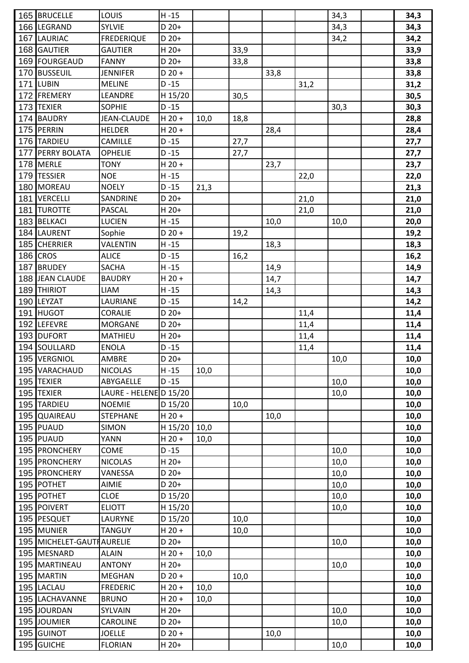|     | 165 BRUCELLE              | LOUIS                  | $H - 15$ |      |      |      |      | 34,3 | 34,3 |
|-----|---------------------------|------------------------|----------|------|------|------|------|------|------|
|     | 166 LEGRAND               | <b>SYLVIE</b>          | $D 20+$  |      |      |      |      | 34,3 | 34,3 |
|     | 167 LAURIAC               | <b>FREDERIQUE</b>      | $D 20+$  |      |      |      |      | 34,2 | 34,2 |
|     | 168 GAUTIER               | <b>GAUTIER</b>         | $H$ 20+  |      | 33,9 |      |      |      | 33,9 |
|     | 169 FOURGEAUD             | <b>FANNY</b>           | $D 20+$  |      | 33,8 |      |      |      | 33,8 |
|     | 170 BUSSEUIL              | <b>JENNIFER</b>        | $D$ 20 + |      |      | 33,8 |      |      | 33,8 |
| 171 | <b>LUBIN</b>              | <b>MELINE</b>          | $D - 15$ |      |      |      | 31,2 |      | 31,2 |
|     | 172 FREMERY               | LEANDRE                | H 15/20  |      | 30,5 |      |      |      | 30,5 |
|     | 173 TEXIER                | <b>SOPHIE</b>          | $D - 15$ |      |      |      |      | 30,3 | 30,3 |
|     | 174 BAUDRY                | <b>JEAN-CLAUDE</b>     | $H$ 20 + | 10,0 | 18,8 |      |      |      | 28,8 |
|     | 175 PERRIN                | <b>HELDER</b>          | $H$ 20 + |      |      | 28,4 |      |      | 28,4 |
|     | 176 TARDIEU               | CAMILLE                | $D - 15$ |      | 27,7 |      |      |      | 27,7 |
| 177 | <b>PERRY BOLATA</b>       | <b>OPHELIE</b>         | $D - 15$ |      | 27,7 |      |      |      | 27,7 |
|     | 178 MERLE                 | <b>TONY</b>            | $H$ 20 + |      |      | 23,7 |      |      | 23,7 |
|     | 179 TESSIER               | <b>NOE</b>             | $H - 15$ |      |      |      | 22,0 |      | 22,0 |
|     | 180 MOREAU                | <b>NOELY</b>           | $D - 15$ | 21,3 |      |      |      |      | 21,3 |
| 181 | <b>VERCELLI</b>           | SANDRINE               | $D 20+$  |      |      |      | 21,0 |      | 21,0 |
| 181 | <b>TUROTTE</b>            | PASCAL                 | $H$ 20+  |      |      |      | 21,0 |      | 21,0 |
|     | 183 BELKACI               | LUCIEN                 | $H - 15$ |      |      | 10,0 |      | 10,0 | 20,0 |
|     | 184 LAURENT               | Sophie                 | $D$ 20 + |      | 19,2 |      |      |      | 19,2 |
| 185 | <b>CHERRIER</b>           | <b>VALENTIN</b>        | $H - 15$ |      |      | 18,3 |      |      | 18,3 |
|     | 186 CROS                  | <b>ALICE</b>           | $D - 15$ |      | 16,2 |      |      |      | 16,2 |
| 187 | <b>BRUDEY</b>             | <b>SACHA</b>           | $H - 15$ |      |      | 14,9 |      |      | 14,9 |
|     | 188 JEAN CLAUDE           | <b>BAUDRY</b>          | $H$ 20 + |      |      | 14,7 |      |      | 14,7 |
|     | 189 THIRIOT               | <b>LIAM</b>            | $H - 15$ |      |      | 14,3 |      |      | 14,3 |
|     | 190 LEYZAT                | LAURIANE               | $D - 15$ |      | 14,2 |      |      |      | 14,2 |
| 191 | <b>HUGOT</b>              | <b>CORALIE</b>         | D 20+    |      |      |      | 11,4 |      | 11,4 |
|     | 192 LEFEVRE               | <b>MORGANE</b>         | D 20+    |      |      |      | 11,4 |      | 11,4 |
|     | 193 DUFORT                | <b>MATHIEU</b>         | $H$ 20+  |      |      |      | 11,4 |      | 11,4 |
|     | 194 SOULLARD              | <b>ENOLA</b>           | $D - 15$ |      |      |      | 11,4 |      | 11,4 |
|     | 195 VERGNIOL              | <b>AMBRE</b>           | D 20+    |      |      |      |      | 10,0 | 10,0 |
|     | 195 VARACHAUD             | <b>NICOLAS</b>         | $H - 15$ | 10,0 |      |      |      |      | 10,0 |
|     | 195 TEXIER                | ABYGAELLE              | $D - 15$ |      |      |      |      | 10,0 | 10,0 |
|     | 195 TEXIER                | LAURE - HELENE D 15/20 |          |      |      |      |      | 10,0 | 10,0 |
|     | 195 TARDIEU               | <b>NOEMIE</b>          | D 15/20  |      | 10,0 |      |      |      | 10,0 |
|     | 195 QUAIREAU              | <b>STEPHANE</b>        | $H$ 20 + |      |      | 10,0 |      |      | 10,0 |
|     | 195 PUAUD                 | <b>SIMON</b>           | H 15/20  | 10,0 |      |      |      |      | 10,0 |
|     | 195 PUAUD                 | YANN                   | $H$ 20 + | 10,0 |      |      |      |      | 10,0 |
|     | 195 PRONCHERY             | COME                   | $D - 15$ |      |      |      |      | 10,0 | 10,0 |
|     | 195 PRONCHERY             | <b>NICOLAS</b>         | $H$ 20+  |      |      |      |      | 10,0 | 10,0 |
|     | 195 PRONCHERY             | VANESSA                | D 20+    |      |      |      |      | 10,0 | 10,0 |
|     | 195 POTHET                | <b>AIMIE</b>           | D 20+    |      |      |      |      | 10,0 | 10,0 |
|     | 195 POTHET                | <b>CLOE</b>            | D 15/20  |      |      |      |      | 10,0 | 10,0 |
|     | 195 POIVERT               | <b>ELIOTT</b>          | H 15/20  |      |      |      |      | 10,0 | 10,0 |
|     | 195 PESQUET               | LAURYNE                | D 15/20  |      | 10,0 |      |      |      | 10,0 |
|     | 195 MUNIER                | <b>TANGUY</b>          | $H$ 20 + |      | 10,0 |      |      |      | 10,0 |
|     | 195 MICHELET-GAUTHAURELIE |                        | D 20+    |      |      |      |      | 10,0 | 10,0 |
|     | 195 MESNARD               | <b>ALAIN</b>           | $H$ 20 + | 10,0 |      |      |      |      | 10,0 |
|     | 195 MARTINEAU             | <b>ANTONY</b>          | $H$ 20+  |      |      |      |      | 10,0 | 10,0 |
|     | 195 MARTIN                | MEGHAN                 | $D$ 20 + |      | 10,0 |      |      |      | 10,0 |
|     | 195 LACLAU                | <b>FREDERIC</b>        | $H$ 20 + | 10,0 |      |      |      |      | 10,0 |
|     | 195 LACHAVANNE            | <b>BRUNO</b>           | $H$ 20 + | 10,0 |      |      |      |      | 10,0 |
|     | 195 JOURDAN               | SYLVAIN                | $H$ 20+  |      |      |      |      | 10,0 | 10,0 |
|     | 195 JOUMIER               | CAROLINE               | D 20+    |      |      |      |      |      |      |
|     | 195 GUINOT                | <b>JOELLE</b>          | $D$ 20 + |      |      |      |      | 10,0 | 10,0 |
|     |                           |                        |          |      |      | 10,0 |      |      | 10,0 |
|     | 195 GUICHE                | <b>FLORIAN</b>         | $H$ 20+  |      |      |      |      | 10,0 | 10,0 |